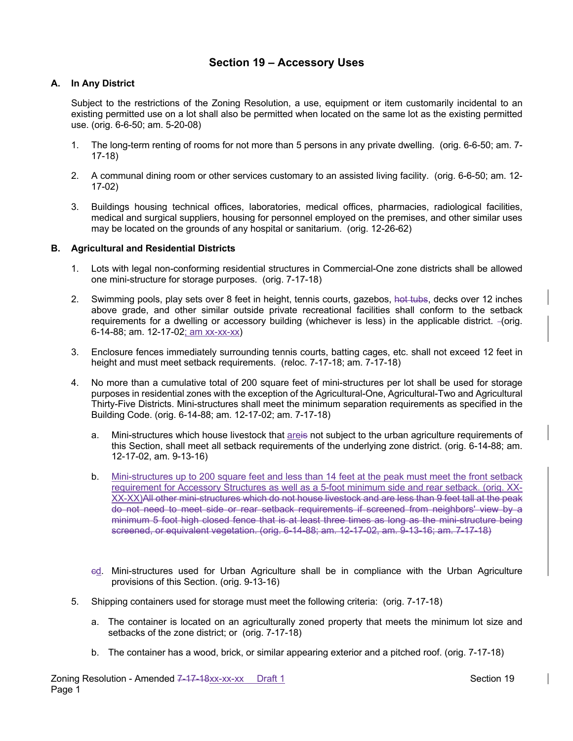# **Section 19 – Accessory Uses**

# **A. In Any District**

Subject to the restrictions of the Zoning Resolution, a use, equipment or item customarily incidental to an existing permitted use on a lot shall also be permitted when located on the same lot as the existing permitted use. (orig. 6-6-50; am. 5-20-08)

- 1. The long-term renting of rooms for not more than 5 persons in any private dwelling. (orig. 6-6-50; am. 7- 17-18)
- 2. A communal dining room or other services customary to an assisted living facility. (orig. 6-6-50; am. 12- 17-02)
- 3. Buildings housing technical offices, laboratories, medical offices, pharmacies, radiological facilities, medical and surgical suppliers, housing for personnel employed on the premises, and other similar uses may be located on the grounds of any hospital or sanitarium. (orig. 12-26-62)

## **B. Agricultural and Residential Districts**

- 1. Lots with legal non-conforming residential structures in Commercial-One zone districts shall be allowed one mini-structure for storage purposes. (orig. 7-17-18)
- 2. Swimming pools, play sets over 8 feet in height, tennis courts, gazebos, hot tubs, decks over 12 inches above grade, and other similar outside private recreational facilities shall conform to the setback requirements for a dwelling or accessory building (whichever is less) in the applicable district. (orig. 6-14-88; am. 12-17-02; am xx-xx-xx)
- 3. Enclosure fences immediately surrounding tennis courts, batting cages, etc. shall not exceed 12 feet in height and must meet setback requirements. (reloc. 7-17-18; am. 7-17-18)
- 4. No more than a cumulative total of 200 square feet of mini-structures per lot shall be used for storage purposes in residential zones with the exception of the Agricultural-One, Agricultural-Two and Agricultural Thirty-Five Districts. Mini-structures shall meet the minimum separation requirements as specified in the Building Code. (orig. 6-14-88; am. 12-17-02; am. 7-17-18)
	- a. Mini-structures which house livestock that areis not subject to the urban agriculture requirements of this Section, shall meet all setback requirements of the underlying zone district. (orig. 6-14-88; am. 12-17-02, am. 9-13-16)
	- b. Mini-structures up to 200 square feet and less than 14 feet at the peak must meet the front setback requirement for Accessory Structures as well as a 5-foot minimum side and rear setback. (orig. XX-XX-XX)All other mini-structures which do not house livestock and are less than 9 feet tall at the peak do not need to meet side or rear setback requirements if screened from neighbors' view by a minimum 5 foot high closed fence that is at least three times as long as the mini-structure being screened, or equivalent vegetation. (orig. 6-14-88; am. 12-17-02, am. 9-13-16; am. 7-17-18)
	- ed. Mini-structures used for Urban Agriculture shall be in compliance with the Urban Agriculture provisions of this Section. (orig. 9-13-16)
- 5. Shipping containers used for storage must meet the following criteria: (orig. 7-17-18)
	- a. The container is located on an agriculturally zoned property that meets the minimum lot size and setbacks of the zone district; or (orig. 7-17-18)
	- b. The container has a wood, brick, or similar appearing exterior and a pitched roof. (orig. 7-17-18)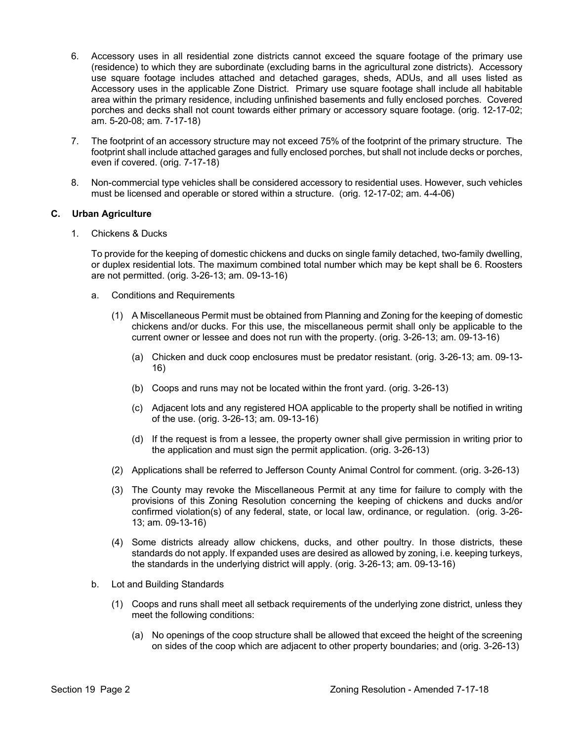- 6. Accessory uses in all residential zone districts cannot exceed the square footage of the primary use (residence) to which they are subordinate (excluding barns in the agricultural zone districts). Accessory use square footage includes attached and detached garages, sheds, ADUs, and all uses listed as Accessory uses in the applicable Zone District. Primary use square footage shall include all habitable area within the primary residence, including unfinished basements and fully enclosed porches. Covered porches and decks shall not count towards either primary or accessory square footage. (orig. 12-17-02; am. 5-20-08; am. 7-17-18)
- 7. The footprint of an accessory structure may not exceed 75% of the footprint of the primary structure. The footprint shall include attached garages and fully enclosed porches, but shall not include decks or porches, even if covered. (orig. 7-17-18)
- 8. Non-commercial type vehicles shall be considered accessory to residential uses. However, such vehicles must be licensed and operable or stored within a structure. (orig. 12-17-02; am. 4-4-06)

#### **C. Urban Agriculture**

1. Chickens & Ducks

To provide for the keeping of domestic chickens and ducks on single family detached, two-family dwelling, or duplex residential lots. The maximum combined total number which may be kept shall be 6. Roosters are not permitted. (orig. 3-26-13; am. 09-13-16)

- a. Conditions and Requirements
	- (1) A Miscellaneous Permit must be obtained from Planning and Zoning for the keeping of domestic chickens and/or ducks. For this use, the miscellaneous permit shall only be applicable to the current owner or lessee and does not run with the property. (orig. 3-26-13; am. 09-13-16)
		- (a) Chicken and duck coop enclosures must be predator resistant. (orig. 3-26-13; am. 09-13- 16)
		- (b) Coops and runs may not be located within the front yard. (orig. 3-26-13)
		- (c) Adjacent lots and any registered HOA applicable to the property shall be notified in writing of the use. (orig. 3-26-13; am. 09-13-16)
		- (d) If the request is from a lessee, the property owner shall give permission in writing prior to the application and must sign the permit application. (orig. 3-26-13)
	- (2) Applications shall be referred to Jefferson County Animal Control for comment. (orig. 3-26-13)
	- (3) The County may revoke the Miscellaneous Permit at any time for failure to comply with the provisions of this Zoning Resolution concerning the keeping of chickens and ducks and/or confirmed violation(s) of any federal, state, or local law, ordinance, or regulation. (orig. 3-26- 13; am. 09-13-16)
	- (4) Some districts already allow chickens, ducks, and other poultry. In those districts, these standards do not apply. If expanded uses are desired as allowed by zoning, i.e. keeping turkeys, the standards in the underlying district will apply. (orig. 3-26-13; am. 09-13-16)
- b. Lot and Building Standards
	- (1) Coops and runs shall meet all setback requirements of the underlying zone district, unless they meet the following conditions:
		- (a) No openings of the coop structure shall be allowed that exceed the height of the screening on sides of the coop which are adjacent to other property boundaries; and (orig. 3-26-13)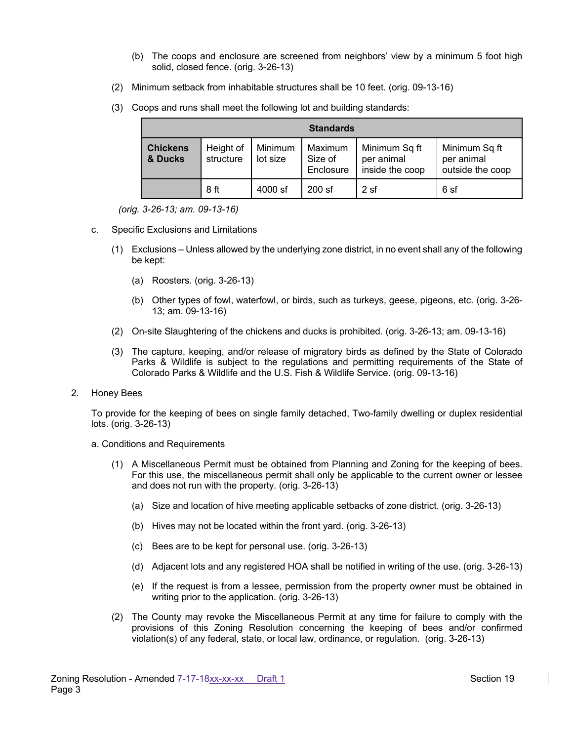- (b) The coops and enclosure are screened from neighbors' view by a minimum 5 foot high solid, closed fence. (orig. 3-26-13)
- (2) Minimum setback from inhabitable structures shall be 10 feet. (orig. 09-13-16)
- (3) Coops and runs shall meet the following lot and building standards:

| <b>Standards</b>           |                        |                     |                                 |                                                |                                                 |  |  |  |
|----------------------------|------------------------|---------------------|---------------------------------|------------------------------------------------|-------------------------------------------------|--|--|--|
| <b>Chickens</b><br>& Ducks | Height of<br>structure | Minimum<br>lot size | Maximum<br>Size of<br>Enclosure | Minimum Sq ft<br>per animal<br>inside the coop | Minimum Sq ft<br>per animal<br>outside the coop |  |  |  |
|                            | 8 ft                   | 4000 sf             | $200$ sf                        | 2sf                                            | 6 sf                                            |  |  |  |

*(orig. 3-26-13; am. 09-13-16)*

- c. Specific Exclusions and Limitations
	- (1) Exclusions Unless allowed by the underlying zone district, in no event shall any of the following be kept:
		- (a) Roosters. (orig. 3-26-13)
		- (b) Other types of fowl, waterfowl, or birds, such as turkeys, geese, pigeons, etc. (orig. 3-26- 13; am. 09-13-16)
	- (2) On-site Slaughtering of the chickens and ducks is prohibited. (orig. 3-26-13; am. 09-13-16)
	- (3) The capture, keeping, and/or release of migratory birds as defined by the State of Colorado Parks & Wildlife is subject to the regulations and permitting requirements of the State of Colorado Parks & Wildlife and the U.S. Fish & Wildlife Service. (orig. 09-13-16)
- 2. Honey Bees

To provide for the keeping of bees on single family detached, Two-family dwelling or duplex residential lots. (orig. 3-26-13)

- a. Conditions and Requirements
	- (1) A Miscellaneous Permit must be obtained from Planning and Zoning for the keeping of bees. For this use, the miscellaneous permit shall only be applicable to the current owner or lessee and does not run with the property. (orig. 3-26-13)
		- (a) Size and location of hive meeting applicable setbacks of zone district. (orig. 3-26-13)
		- (b) Hives may not be located within the front yard. (orig. 3-26-13)
		- (c) Bees are to be kept for personal use. (orig. 3-26-13)
		- (d) Adjacent lots and any registered HOA shall be notified in writing of the use. (orig. 3-26-13)
		- (e) If the request is from a lessee, permission from the property owner must be obtained in writing prior to the application. (orig. 3-26-13)
	- (2) The County may revoke the Miscellaneous Permit at any time for failure to comply with the provisions of this Zoning Resolution concerning the keeping of bees and/or confirmed violation(s) of any federal, state, or local law, ordinance, or regulation. (orig. 3-26-13)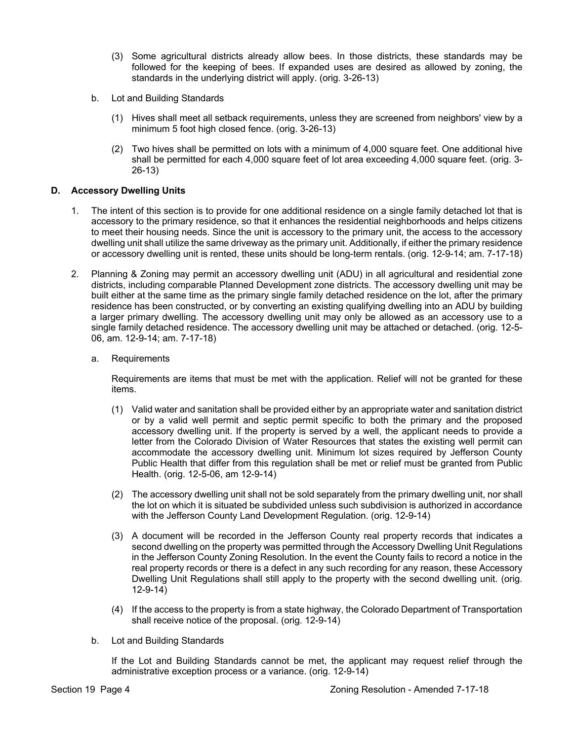- (3) Some agricultural districts already allow bees. In those districts, these standards may be followed for the keeping of bees. If expanded uses are desired as allowed by zoning, the standards in the underlying district will apply. (orig. 3-26-13)
- b. Lot and Building Standards
	- (1) Hives shall meet all setback requirements, unless they are screened from neighbors' view by a minimum 5 foot high closed fence. (orig. 3-26-13)
	- (2) Two hives shall be permitted on lots with a minimum of 4,000 square feet. One additional hive shall be permitted for each 4,000 square feet of lot area exceeding 4,000 square feet. (orig. 3- 26-13)

## **D. Accessory Dwelling Units**

- 1. The intent of this section is to provide for one additional residence on a single family detached lot that is accessory to the primary residence, so that it enhances the residential neighborhoods and helps citizens to meet their housing needs. Since the unit is accessory to the primary unit, the access to the accessory dwelling unit shall utilize the same driveway as the primary unit. Additionally, if either the primary residence or accessory dwelling unit is rented, these units should be long-term rentals. (orig. 12-9-14; am. 7-17-18)
- 2. Planning & Zoning may permit an accessory dwelling unit (ADU) in all agricultural and residential zone districts, including comparable Planned Development zone districts. The accessory dwelling unit may be built either at the same time as the primary single family detached residence on the lot, after the primary residence has been constructed, or by converting an existing qualifying dwelling into an ADU by building a larger primary dwelling. The accessory dwelling unit may only be allowed as an accessory use to a single family detached residence. The accessory dwelling unit may be attached or detached. (orig. 12-5- 06, am. 12-9-14; am. 7-17-18)
	- a. Requirements

Requirements are items that must be met with the application. Relief will not be granted for these items.

- (1) Valid water and sanitation shall be provided either by an appropriate water and sanitation district or by a valid well permit and septic permit specific to both the primary and the proposed accessory dwelling unit. If the property is served by a well, the applicant needs to provide a letter from the Colorado Division of Water Resources that states the existing well permit can accommodate the accessory dwelling unit. Minimum lot sizes required by Jefferson County Public Health that differ from this regulation shall be met or relief must be granted from Public Health. (orig. 12-5-06, am 12-9-14)
- (2) The accessory dwelling unit shall not be sold separately from the primary dwelling unit, nor shall the lot on which it is situated be subdivided unless such subdivision is authorized in accordance with the Jefferson County Land Development Regulation. (orig. 12-9-14)
- (3) A document will be recorded in the Jefferson County real property records that indicates a second dwelling on the property was permitted through the Accessory Dwelling Unit Regulations in the Jefferson County Zoning Resolution. In the event the County fails to record a notice in the real property records or there is a defect in any such recording for any reason, these Accessory Dwelling Unit Regulations shall still apply to the property with the second dwelling unit. (orig. 12-9-14)
- (4) If the access to the property is from a state highway, the Colorado Department of Transportation shall receive notice of the proposal. (orig. 12-9-14)
- b. Lot and Building Standards

If the Lot and Building Standards cannot be met, the applicant may request relief through the administrative exception process or a variance. (orig. 12-9-14)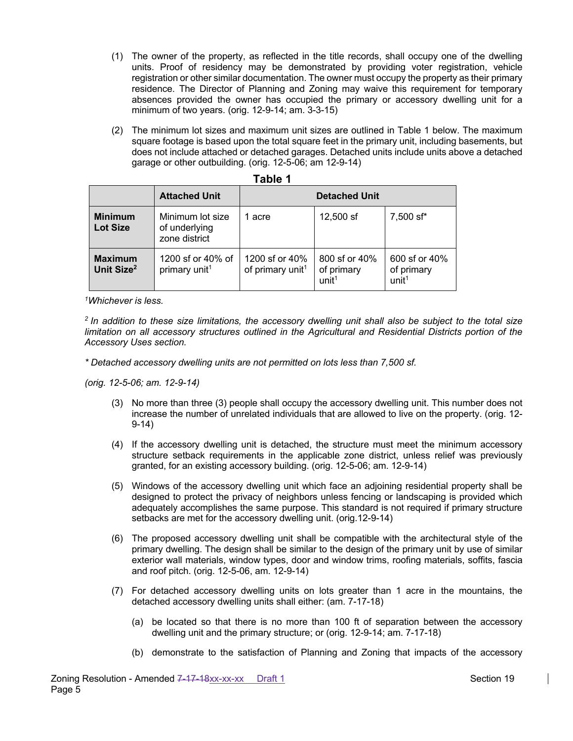- (1) The owner of the property, as reflected in the title records, shall occupy one of the dwelling units. Proof of residency may be demonstrated by providing voter registration, vehicle registration or other similar documentation. The owner must occupy the property as their primary residence. The Director of Planning and Zoning may waive this requirement for temporary absences provided the owner has occupied the primary or accessory dwelling unit for a minimum of two years. (orig. 12-9-14; am. 3-3-15)
- (2) The minimum lot sizes and maximum unit sizes are outlined in Table 1 below. The maximum square footage is based upon the total square feet in the primary unit, including basements, but does not include attached or detached garages. Detached units include units above a detached garage or other outbuilding. (orig. 12-5-06; am 12-9-14)

|                                          | <b>Attached Unit</b>                               | <b>Detached Unit</b>                           |                                                  |                                                  |  |
|------------------------------------------|----------------------------------------------------|------------------------------------------------|--------------------------------------------------|--------------------------------------------------|--|
| <b>Minimum</b><br><b>Lot Size</b>        | Minimum lot size<br>of underlying<br>zone district | 1 acre                                         | 12,500 sf                                        | 7,500 sf*                                        |  |
| <b>Maximum</b><br>Unit Size <sup>2</sup> | 1200 sf or 40% of<br>primary unit <sup>1</sup>     | 1200 sf or 40%<br>of primary unit <sup>1</sup> | 800 sf or 40%<br>of primary<br>unit <sup>1</sup> | 600 sf or 40%<br>of primary<br>unit <sup>1</sup> |  |

| 101<br>., |  |
|-----------|--|
|-----------|--|

*1Whichever is less.*

*2 In addition to these size limitations, the accessory dwelling unit shall also be subject to the total size limitation on all accessory structures outlined in the Agricultural and Residential Districts portion of the Accessory Uses section.*

*\* Detached accessory dwelling units are not permitted on lots less than 7,500 sf.* 

*(orig. 12-5-06; am. 12-9-14)*

- (3) No more than three (3) people shall occupy the accessory dwelling unit. This number does not increase the number of unrelated individuals that are allowed to live on the property. (orig. 12- 9-14)
- (4) If the accessory dwelling unit is detached, the structure must meet the minimum accessory structure setback requirements in the applicable zone district, unless relief was previously granted, for an existing accessory building. (orig. 12-5-06; am. 12-9-14)
- (5) Windows of the accessory dwelling unit which face an adjoining residential property shall be designed to protect the privacy of neighbors unless fencing or landscaping is provided which adequately accomplishes the same purpose. This standard is not required if primary structure setbacks are met for the accessory dwelling unit. (orig.12-9-14)
- (6) The proposed accessory dwelling unit shall be compatible with the architectural style of the primary dwelling. The design shall be similar to the design of the primary unit by use of similar exterior wall materials, window types, door and window trims, roofing materials, soffits, fascia and roof pitch. (orig. 12-5-06, am. 12-9-14)
- (7) For detached accessory dwelling units on lots greater than 1 acre in the mountains, the detached accessory dwelling units shall either: (am. 7-17-18)
	- (a) be located so that there is no more than 100 ft of separation between the accessory dwelling unit and the primary structure; or (orig. 12-9-14; am. 7-17-18)
	- (b) demonstrate to the satisfaction of Planning and Zoning that impacts of the accessory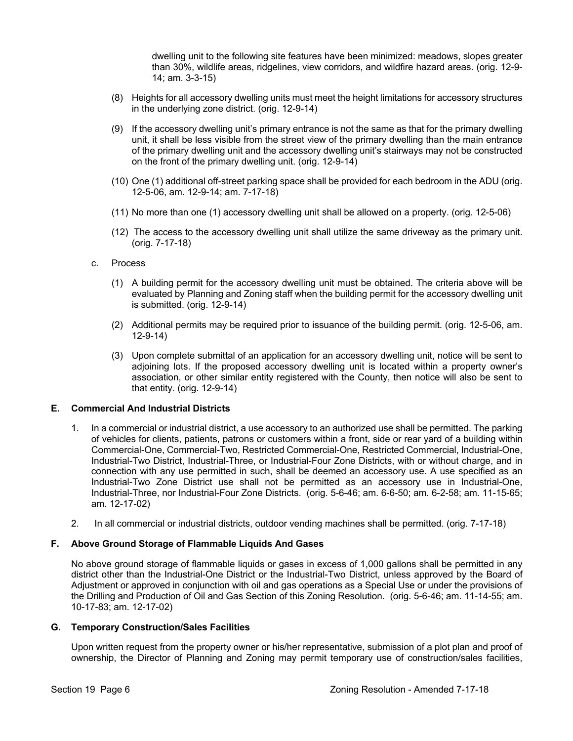dwelling unit to the following site features have been minimized: meadows, slopes greater than 30%, wildlife areas, ridgelines, view corridors, and wildfire hazard areas. (orig. 12-9- 14; am. 3-3-15)

- (8) Heights for all accessory dwelling units must meet the height limitations for accessory structures in the underlying zone district. (orig. 12-9-14)
- (9) If the accessory dwelling unit's primary entrance is not the same as that for the primary dwelling unit, it shall be less visible from the street view of the primary dwelling than the main entrance of the primary dwelling unit and the accessory dwelling unit's stairways may not be constructed on the front of the primary dwelling unit. (orig. 12-9-14)
- (10) One (1) additional off-street parking space shall be provided for each bedroom in the ADU (orig. 12-5-06, am. 12-9-14; am. 7-17-18)
- (11) No more than one (1) accessory dwelling unit shall be allowed on a property. (orig. 12-5-06)
- (12) The access to the accessory dwelling unit shall utilize the same driveway as the primary unit. (orig. 7-17-18)
- c. Process
	- (1) A building permit for the accessory dwelling unit must be obtained. The criteria above will be evaluated by Planning and Zoning staff when the building permit for the accessory dwelling unit is submitted. (orig. 12-9-14)
	- (2) Additional permits may be required prior to issuance of the building permit. (orig. 12-5-06, am. 12-9-14)
	- (3) Upon complete submittal of an application for an accessory dwelling unit, notice will be sent to adjoining lots. If the proposed accessory dwelling unit is located within a property owner's association, or other similar entity registered with the County, then notice will also be sent to that entity. (orig. 12-9-14)

## **E. Commercial And Industrial Districts**

- 1. In a commercial or industrial district, a use accessory to an authorized use shall be permitted. The parking of vehicles for clients, patients, patrons or customers within a front, side or rear yard of a building within Commercial-One, Commercial-Two, Restricted Commercial-One, Restricted Commercial, Industrial-One, Industrial-Two District, Industrial-Three, or Industrial-Four Zone Districts, with or without charge, and in connection with any use permitted in such, shall be deemed an accessory use. A use specified as an Industrial-Two Zone District use shall not be permitted as an accessory use in Industrial-One, Industrial-Three, nor Industrial-Four Zone Districts. (orig. 5-6-46; am. 6-6-50; am. 6-2-58; am. 11-15-65; am. 12-17-02)
- 2. In all commercial or industrial districts, outdoor vending machines shall be permitted. (orig. 7-17-18)

## **F. Above Ground Storage of Flammable Liquids And Gases**

No above ground storage of flammable liquids or gases in excess of 1,000 gallons shall be permitted in any district other than the Industrial-One District or the Industrial-Two District, unless approved by the Board of Adjustment or approved in conjunction with oil and gas operations as a Special Use or under the provisions of the Drilling and Production of Oil and Gas Section of this Zoning Resolution. (orig. 5-6-46; am. 11-14-55; am. 10-17-83; am. 12-17-02)

#### **G. Temporary Construction/Sales Facilities**

Upon written request from the property owner or his/her representative, submission of a plot plan and proof of ownership, the Director of Planning and Zoning may permit temporary use of construction/sales facilities,